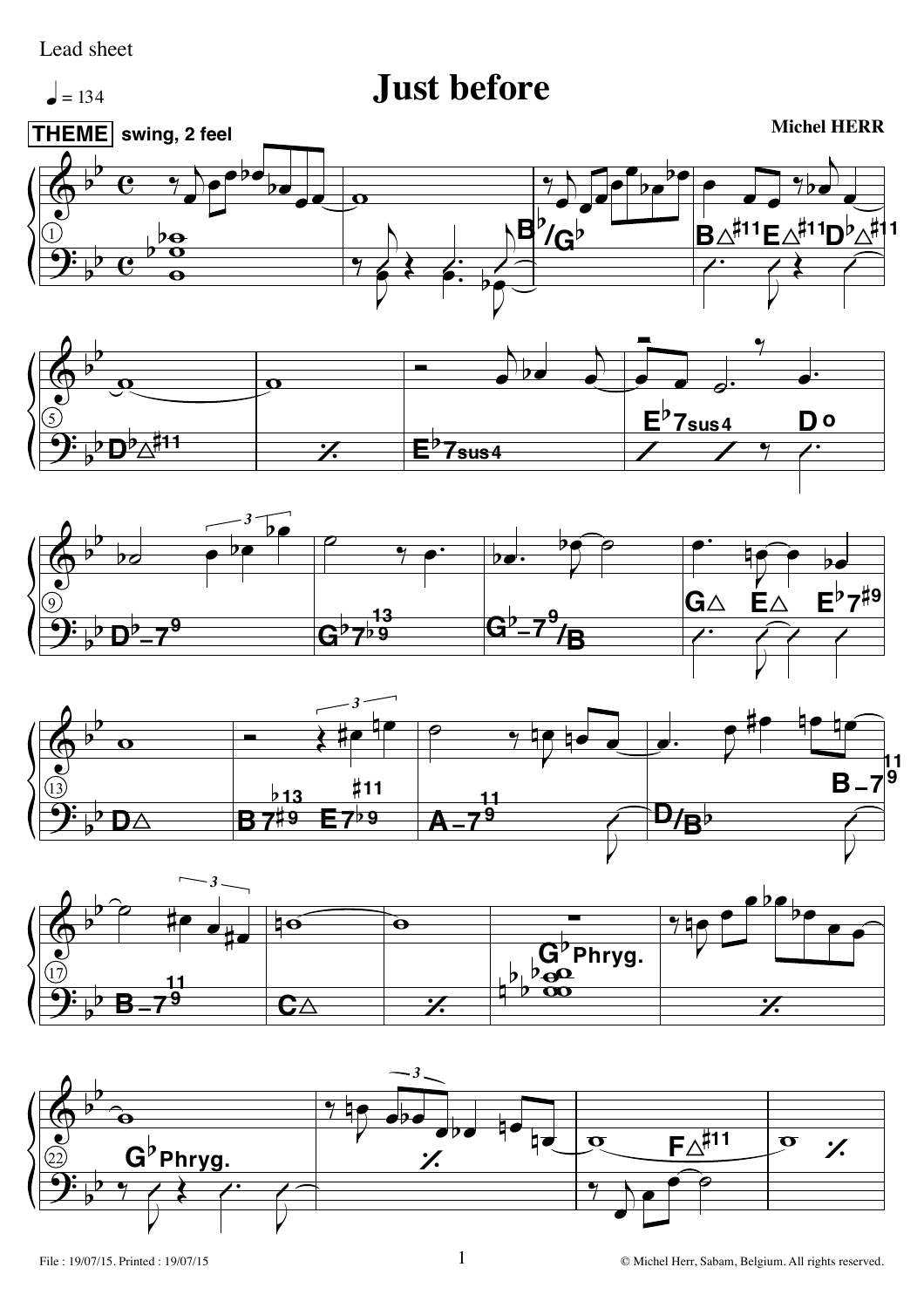## Lead sheet